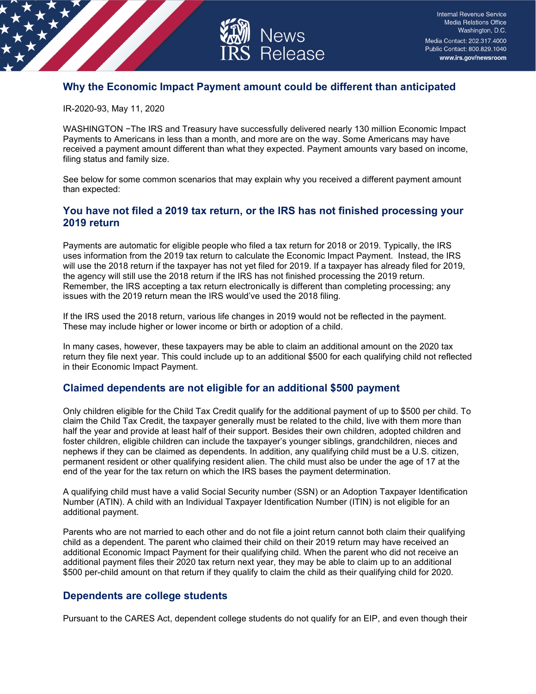

# **Why the Economic Impact Payment amount could be different than anticipated**

IR-2020-93, May 11, 2020

WASHINGTON −The IRS and Treasury have successfully delivered nearly 130 million Economic Impact Payments to Americans in less than a month, and more are on the way. Some Americans may have received a payment amount different than what they expected. Payment amounts vary based on income, filing status and family size.

See below for some common scenarios that may explain why you received a different payment amount than expected:

## **You have not filed a 2019 tax return, or the IRS has not finished processing your 2019 return**

Payments are automatic for eligible people who filed a tax return for 2018 or 2019. Typically, the IRS uses information from the 2019 tax return to calculate the Economic Impact Payment. Instead, the IRS will use the 2018 return if the taxpayer has not yet filed for 2019. If a taxpayer has already filed for 2019, the agency will still use the 2018 return if the IRS has not finished processing the 2019 return. Remember, the IRS accepting a tax return electronically is different than completing processing; any issues with the 2019 return mean the IRS would've used the 2018 filing.

If the IRS used the 2018 return, various life changes in 2019 would not be reflected in the payment. These may include higher or lower income or birth or adoption of a child.

In many cases, however, these taxpayers may be able to claim an additional amount on the 2020 tax return they file next year. This could include up to an additional \$500 for each qualifying child not reflected in their Economic Impact Payment.

#### **Claimed dependents are not eligible for an additional \$500 payment**

Only children eligible for the Child Tax Credit qualify for the additional payment of up to \$500 per child. To claim the Child Tax Credit, the taxpayer generally must be related to the child, live with them more than half the year and provide at least half of their support. Besides their own children, adopted children and foster children, eligible children can include the taxpayer's younger siblings, grandchildren, nieces and nephews if they can be claimed as dependents. In addition, any qualifying child must be a U.S. citizen, permanent resident or other qualifying resident alien. The child must also be under the age of 17 at the end of the year for the tax return on which the IRS bases the payment determination.

A qualifying child must have a valid Social Security number (SSN) or an Adoption Taxpayer Identification Number (ATIN). A child with an Individual Taxpayer Identification Number (ITIN) is not eligible for an additional payment.

Parents who are not married to each other and do not file a joint return cannot both claim their qualifying child as a dependent. The parent who claimed their child on their 2019 return may have received an additional Economic Impact Payment for their qualifying child. When the parent who did not receive an additional payment files their 2020 tax return next year, they may be able to claim up to an additional \$500 per-child amount on that return if they qualify to claim the child as their qualifying child for 2020.

## **Dependents are college students**

Pursuant to the CARES Act, dependent college students do not qualify for an EIP, and even though their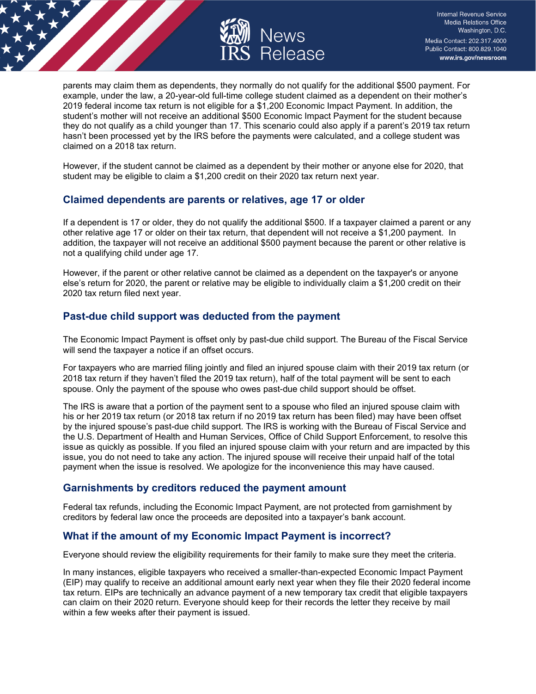

parents may claim them as dependents, they normally do not qualify for the additional \$500 payment. For example, under the law, a 20-year-old full-time college student claimed as a dependent on their mother's 2019 federal income tax return is not eligible for a \$1,200 Economic Impact Payment. In addition, the student's mother will not receive an additional \$500 Economic Impact Payment for the student because they do not qualify as a child younger than 17. This scenario could also apply if a parent's 2019 tax return hasn't been processed yet by the IRS before the payments were calculated, and a college student was claimed on a 2018 tax return.

However, if the student cannot be claimed as a dependent by their mother or anyone else for 2020, that student may be eligible to claim a \$1,200 credit on their 2020 tax return next year.

## **Claimed dependents are parents or relatives, age 17 or older**

If a dependent is 17 or older, they do not qualify the additional \$500. If a taxpayer claimed a parent or any other relative age 17 or older on their tax return, that dependent will not receive a \$1,200 payment. In addition, the taxpayer will not receive an additional \$500 payment because the parent or other relative is not a qualifying child under age 17.

However, if the parent or other relative cannot be claimed as a dependent on the taxpayer's or anyone else's return for 2020, the parent or relative may be eligible to individually claim a \$1,200 credit on their 2020 tax return filed next year.

## **Past-due child support was deducted from the payment**

The Economic Impact Payment is offset only by past-due child support. The Bureau of the Fiscal Service will send the taxpayer a notice if an offset occurs.

For taxpayers who are married filing jointly and filed an injured spouse claim with their 2019 tax return (or 2018 tax return if they haven't filed the 2019 tax return), half of the total payment will be sent to each spouse. Only the payment of the spouse who owes past-due child support should be offset.

The IRS is aware that a portion of the payment sent to a spouse who filed an injured spouse claim with his or her 2019 tax return (or 2018 tax return if no 2019 tax return has been filed) may have been offset by the injured spouse's past-due child support. The IRS is working with the Bureau of Fiscal Service and the U.S. Department of Health and Human Services, Office of Child Support Enforcement, to resolve this issue as quickly as possible. If you filed an injured spouse claim with your return and are impacted by this issue, you do not need to take any action. The injured spouse will receive their unpaid half of the total payment when the issue is resolved. We apologize for the inconvenience this may have caused.

#### **Garnishments by creditors reduced the payment amount**

Federal tax refunds, including the Economic Impact Payment, are not protected from garnishment by creditors by federal law once the proceeds are deposited into a taxpayer's bank account.

#### **What if the amount of my Economic Impact Payment is incorrect?**

Everyone should review the eligibility requirements for their family to make sure they meet the criteria.

In many instances, eligible taxpayers who received a smaller-than-expected Economic Impact Payment (EIP) may qualify to receive an additional amount early next year when they file their 2020 federal income tax return. EIPs are technically an advance payment of a new temporary tax credit that eligible taxpayers can claim on their 2020 return. Everyone should keep for their records the letter they receive by mail within a few weeks after their payment is issued.